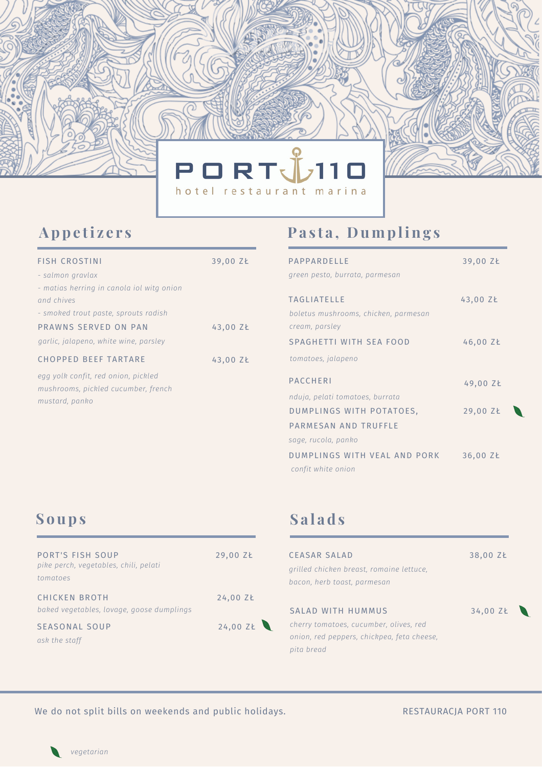

### **Appe ti z e r s**

| <b>FISH CROSTINI</b>                                                                         | 39,00 ZŁ |
|----------------------------------------------------------------------------------------------|----------|
| - salmon gravlax                                                                             |          |
| - matias herring in canola iol witg onion                                                    |          |
| and chives                                                                                   |          |
| - smoked trout paste, sprouts radish                                                         |          |
| PRAWNS SERVED ON PAN                                                                         | 43,00 ZŁ |
| garlic, jalapeno, white wine, parsley                                                        |          |
| <b>CHOPPED BEEF TARTARE</b>                                                                  | 43,00 ZŁ |
| egg yolk confit, red onion, pickled<br>mushrooms, pickled cucumber, french<br>mustard, panko |          |

### **Pa s t a , Dumpling s**

| PAPPARDELLE                                                | 39,00 ZŁ |
|------------------------------------------------------------|----------|
| green pesto, burrata, parmesan                             |          |
| <b>TAGLIATELLE</b><br>boletus mushrooms, chicken, parmesan | 43,00 ZŁ |
| cream, parsley                                             |          |
| SPAGHETTI WITH SEA FOOD                                    | 46,00 ZŁ |
| tomatoes, jalapeno                                         |          |
| <b>PACCHERI</b>                                            | 49,00 ZŁ |
| nduja, pelati tomatoes, burrata                            |          |
| DUMPLINGS WITH POTATOES,                                   | 29,00 ZŁ |
| PARMESAN AND TRUFFLE                                       |          |
| sage, rucola, panko                                        |          |
| DUMPLINGS WITH VEAL AND PORK<br>confit white onion         | 36,00 ZŁ |

### **S oups**

| <b>PORT'S FISH SOUP</b><br>pike perch, vegetables, chili, pelati<br>tomatoes | 29,00 ZŁ |
|------------------------------------------------------------------------------|----------|
| <b>CHICKEN BROTH</b><br>baked vegetables, lovage, goose dumplings            | 24,00 ZŁ |
| <b>SEASONAL SOUP</b><br>ask the staff                                        | 24,00 ZŁ |

# **S a l a d s**

| <b>CEASAR SALAD</b>                        | 38,00 ZŁ |
|--------------------------------------------|----------|
| grilled chicken breast, romaine lettuce,   |          |
| bacon, herb toast, parmesan                |          |
|                                            |          |
| SALAD WITH HUMMUS                          | 34.00 ZŁ |
| cherry tomatoes, cucumber, olives, red     |          |
| onion, red peppers, chickpea, feta cheese, |          |
| pita bread                                 |          |
|                                            |          |

We do not split bills on weekends and public holidays. RESTAURACJA PORT 110